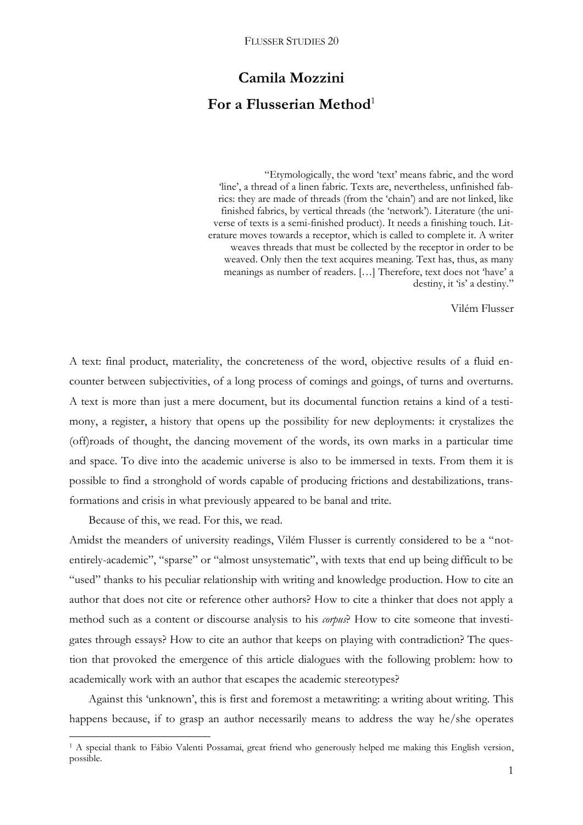# **Camila Mozzini** For a Flusserian Method<sup>1</sup>

"Etymologically, the word 'text' means fabric, and the word 'line', a thread of a linen fabric. Texts are, nevertheless, unfinished fabrics: they are made of threads (from the 'chain') and are not linked, like finished fabrics, by vertical threads (the 'network'). Literature (the universe of texts is a semi-finished product). It needs a finishing touch. Literature moves towards a receptor, which is called to complete it. A writer weaves threads that must be collected by the receptor in order to be weaved. Only then the text acquires meaning. Text has, thus, as many meanings as number of readers. […] Therefore, text does not 'have' a destiny, it 'is' a destiny."

Vilém Flusser

A text: final product, materiality, the concreteness of the word, objective results of a fluid encounter between subjectivities, of a long process of comings and goings, of turns and overturns. A text is more than just a mere document, but its documental function retains a kind of a testimony, a register, a history that opens up the possibility for new deployments: it crystalizes the (off)roads of thought, the dancing movement of the words, its own marks in a particular time and space. To dive into the academic universe is also to be immersed in texts. From them it is possible to find a stronghold of words capable of producing frictions and destabilizations, transformations and crisis in what previously appeared to be banal and trite.

Because of this, we read. For this, we read.

1

Amidst the meanders of university readings, Vilém Flusser is currently considered to be a "notentirely-academic", "sparse" or "almost unsystematic", with texts that end up being difficult to be "used" thanks to his peculiar relationship with writing and knowledge production. How to cite an author that does not cite or reference other authors? How to cite a thinker that does not apply a method such as a content or discourse analysis to his *corpus*? How to cite someone that investigates through essays? How to cite an author that keeps on playing with contradiction? The question that provoked the emergence of this article dialogues with the following problem: how to academically work with an author that escapes the academic stereotypes?

Against this 'unknown', this is first and foremost a metawriting: a writing about writing. This happens because, if to grasp an author necessarily means to address the way he/she operates

<sup>&</sup>lt;sup>1</sup> A special thank to Fábio Valenti Possamai, great friend who generously helped me making this English version, possible.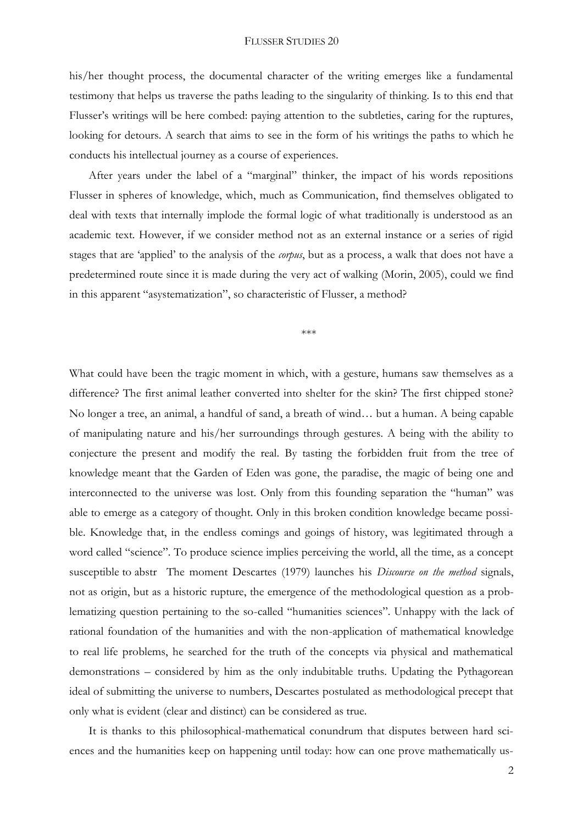his/her thought process, the documental character of the writing emerges like a fundamental testimony that helps us traverse the paths leading to the singularity of thinking. Is to this end that Flusser's writings will be here combed: paying attention to the subtleties, caring for the ruptures, looking for detours. A search that aims to see in the form of his writings the paths to which he conducts his intellectual journey as a course of experiences.

After years under the label of a "marginal" thinker, the impact of his words repositions Flusser in spheres of knowledge, which, much as Communication, find themselves obligated to deal with texts that internally implode the formal logic of what traditionally is understood as an academic text. However, if we consider method not as an external instance or a series of rigid stages that are 'applied' to the analysis of the *corpus*, but as a process, a walk that does not have a predetermined route since it is made during the very act of walking (Morin, 2005), could we find in this apparent "asystematization", so characteristic of Flusser, a method?

\*\*\*

What could have been the tragic moment in which, with a gesture, humans saw themselves as a difference? The first animal leather converted into shelter for the skin? The first chipped stone? No longer a tree, an animal, a handful of sand, a breath of wind… but a human. A being capable of manipulating nature and his/her surroundings through gestures. A being with the ability to conjecture the present and modify the real. By tasting the forbidden fruit from the tree of knowledge meant that the Garden of Eden was gone, the paradise, the magic of being one and interconnected to the universe was lost. Only from this founding separation the "human" was able to emerge as a category of thought. Only in this broken condition knowledge became possible. Knowledge that, in the endless comings and goings of history, was legitimated through a word called "science". To produce science implies perceiving the world, all the time, as a concept susceptible to abstr The moment Descartes (1979) launches his *Discourse on the method* signals, not as origin, but as a historic rupture, the emergence of the methodological question as a problematizing question pertaining to the so-called "humanities sciences". Unhappy with the lack of rational foundation of the humanities and with the non-application of mathematical knowledge to real life problems, he searched for the truth of the concepts via physical and mathematical demonstrations – considered by him as the only indubitable truths. Updating the Pythagorean ideal of submitting the universe to numbers, Descartes postulated as methodological precept that only what is evident (clear and distinct) can be considered as true.

It is thanks to this philosophical-mathematical conundrum that disputes between hard sciences and the humanities keep on happening until today: how can one prove mathematically us-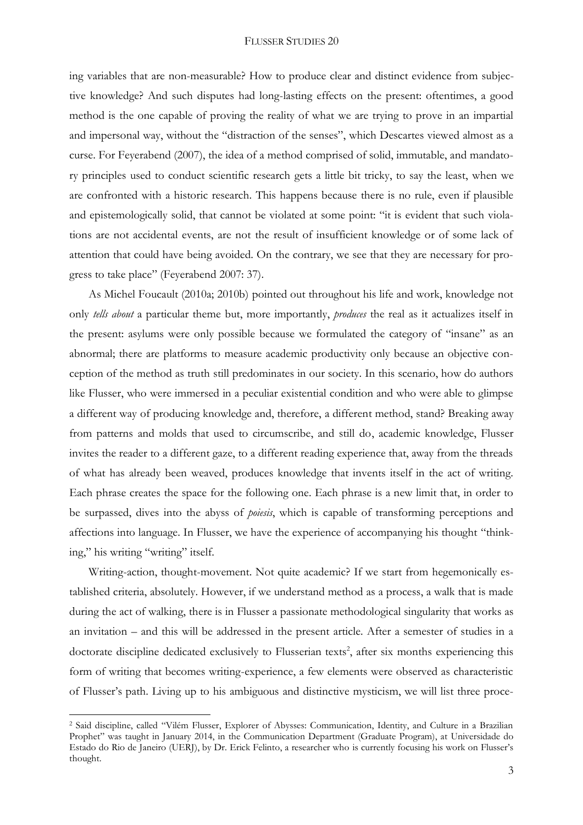ing variables that are non-measurable? How to produce clear and distinct evidence from subjective knowledge? And such disputes had long-lasting effects on the present: oftentimes, a good method is the one capable of proving the reality of what we are trying to prove in an impartial and impersonal way, without the "distraction of the senses", which Descartes viewed almost as a curse. For Feyerabend (2007), the idea of a method comprised of solid, immutable, and mandatory principles used to conduct scientific research gets a little bit tricky, to say the least, when we are confronted with a historic research. This happens because there is no rule, even if plausible and epistemologically solid, that cannot be violated at some point: "it is evident that such violations are not accidental events, are not the result of insufficient knowledge or of some lack of attention that could have being avoided. On the contrary, we see that they are necessary for progress to take place" (Feyerabend 2007: 37).

As Michel Foucault (2010a; 2010b) pointed out throughout his life and work, knowledge not only *tells about* a particular theme but, more importantly, *produces* the real as it actualizes itself in the present: asylums were only possible because we formulated the category of "insane" as an abnormal; there are platforms to measure academic productivity only because an objective conception of the method as truth still predominates in our society. In this scenario, how do authors like Flusser, who were immersed in a peculiar existential condition and who were able to glimpse a different way of producing knowledge and, therefore, a different method, stand? Breaking away from patterns and molds that used to circumscribe, and still do, academic knowledge, Flusser invites the reader to a different gaze, to a different reading experience that, away from the threads of what has already been weaved, produces knowledge that invents itself in the act of writing. Each phrase creates the space for the following one. Each phrase is a new limit that, in order to be surpassed, dives into the abyss of *poiesis*, which is capable of transforming perceptions and affections into language. In Flusser, we have the experience of accompanying his thought "thinking," his writing "writing" itself.

Writing-action, thought-movement. Not quite academic? If we start from hegemonically established criteria, absolutely. However, if we understand method as a process, a walk that is made during the act of walking, there is in Flusser a passionate methodological singularity that works as an invitation – and this will be addressed in the present article. After a semester of studies in a doctorate discipline dedicated exclusively to Flusserian texts<sup>2</sup>, after six months experiencing this form of writing that becomes writing-experience, a few elements were observed as characteristic of Flusser's path. Living up to his ambiguous and distinctive mysticism, we will list three proce-

 $\overline{a}$ 

<sup>2</sup> Said discipline, called "Vilém Flusser, Explorer of Abysses: Communication, Identity, and Culture in a Brazilian Prophet" was taught in January 2014, in the Communication Department (Graduate Program), at Universidade do Estado do Rio de Janeiro (UERJ), by Dr. Erick Felinto, a researcher who is currently focusing his work on Flusser's thought.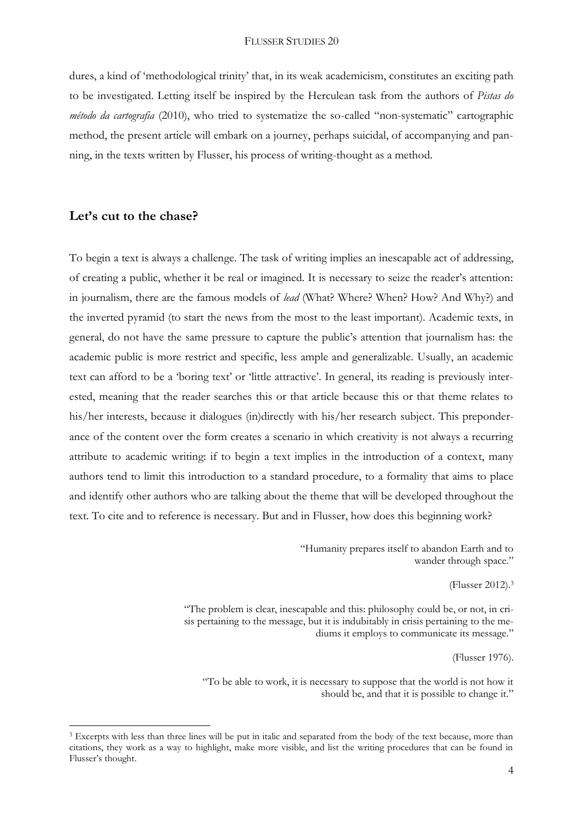dures, a kind of 'methodological trinity' that, in its weak academicism, constitutes an exciting path to be investigated. Letting itself be inspired by the Herculean task from the authors of *Pistas do método da cartografia* (2010), who tried to systematize the so-called "non-systematic" cartographic method, the present article will embark on a journey, perhaps suicidal, of accompanying and panning, in the texts written by Flusser, his process of writing-thought as a method.

# **Let's cut to the chase?**

 $\overline{a}$ 

To begin a text is always a challenge. The task of writing implies an inescapable act of addressing, of creating a public, whether it be real or imagined. It is necessary to seize the reader's attention: in journalism, there are the famous models of *lead* (What? Where? When? How? And Why?) and the inverted pyramid (to start the news from the most to the least important). Academic texts, in general, do not have the same pressure to capture the public's attention that journalism has: the academic public is more restrict and specific, less ample and generalizable. Usually, an academic text can afford to be a 'boring text' or 'little attractive'. In general, its reading is previously interested, meaning that the reader searches this or that article because this or that theme relates to his/her interests, because it dialogues (in)directly with his/her research subject. This preponderance of the content over the form creates a scenario in which creativity is not always a recurring attribute to academic writing: if to begin a text implies in the introduction of a context, many authors tend to limit this introduction to a standard procedure, to a formality that aims to place and identify other authors who are talking about the theme that will be developed throughout the text. To cite and to reference is necessary. But and in Flusser, how does this beginning work?

> "Humanity prepares itself to abandon Earth and to wander through space."

> > (Flusser 2012). 3

"The problem is clear, inescapable and this: philosophy could be, or not, in crisis pertaining to the message, but it is indubitably in crisis pertaining to the mediums it employs to communicate its message."

(Flusser 1976).

"To be able to work, it is necessary to suppose that the world is not how it should be, and that it is possible to change it."

<sup>&</sup>lt;sup>3</sup> Excerpts with less than three lines will be put in italic and separated from the body of the text because, more than citations, they work as a way to highlight, make more visible, and list the writing procedures that can be found in Flusser's thought.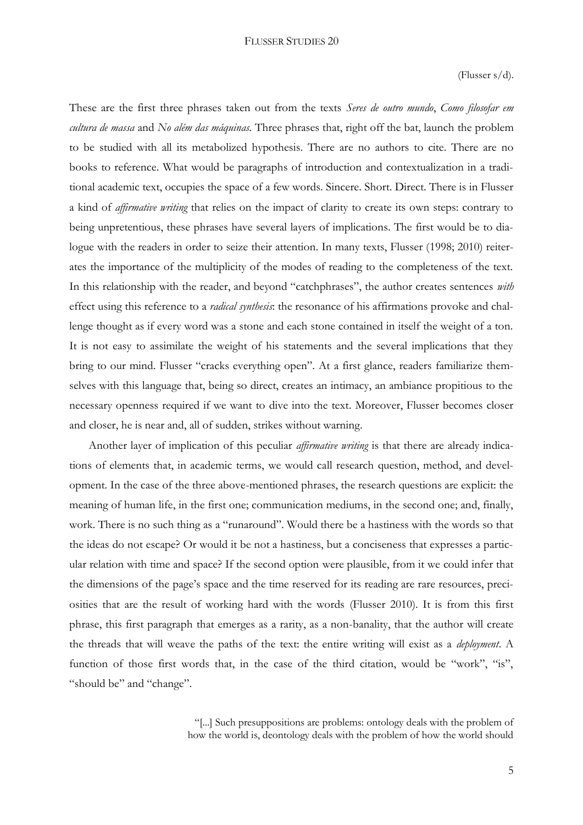(Flusser s/d).

These are the first three phrases taken out from the texts *Seres de outro mundo*, *Como filosofar em cultura de massa* and *No além das máquinas.* Three phrases that, right off the bat, launch the problem to be studied with all its metabolized hypothesis. There are no authors to cite. There are no books to reference. What would be paragraphs of introduction and contextualization in a traditional academic text, occupies the space of a few words. Sincere. Short. Direct. There is in Flusser a kind of *affirmative writing* that relies on the impact of clarity to create its own steps: contrary to being unpretentious, these phrases have several layers of implications. The first would be to dialogue with the readers in order to seize their attention. In many texts, Flusser (1998; 2010) reiterates the importance of the multiplicity of the modes of reading to the completeness of the text. In this relationship with the reader, and beyond "catchphrases", the author creates sentences *with*  effect using this reference to a *radical synthesis*: the resonance of his affirmations provoke and challenge thought as if every word was a stone and each stone contained in itself the weight of a ton. It is not easy to assimilate the weight of his statements and the several implications that they bring to our mind. Flusser "cracks everything open". At a first glance, readers familiarize themselves with this language that, being so direct, creates an intimacy, an ambiance propitious to the necessary openness required if we want to dive into the text. Moreover, Flusser becomes closer and closer, he is near and, all of sudden, strikes without warning.

Another layer of implication of this peculiar *affirmative writing* is that there are already indications of elements that, in academic terms, we would call research question, method, and development. In the case of the three above-mentioned phrases, the research questions are explicit: the meaning of human life, in the first one; communication mediums, in the second one; and, finally, work. There is no such thing as a "runaround". Would there be a hastiness with the words so that the ideas do not escape? Or would it be not a hastiness, but a conciseness that expresses a particular relation with time and space? If the second option were plausible, from it we could infer that the dimensions of the page's space and the time reserved for its reading are rare resources, preciosities that are the result of working hard with the words (Flusser 2010). It is from this first phrase, this first paragraph that emerges as a rarity, as a non-banality, that the author will create the threads that will weave the paths of the text: the entire writing will exist as a *deployment*. A function of those first words that, in the case of the third citation, would be "work", "is", "should be" and "change".

> "[...] Such presuppositions are problems: ontology deals with the problem of how the world is, deontology deals with the problem of how the world should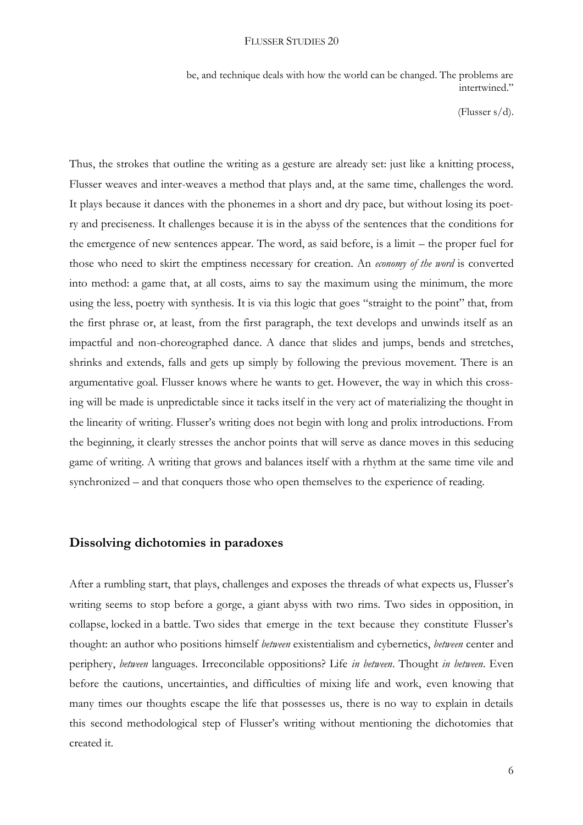be, and technique deals with how the world can be changed. The problems are intertwined."

(Flusser s/d).

Thus, the strokes that outline the writing as a gesture are already set: just like a knitting process, Flusser weaves and inter-weaves a method that plays and, at the same time, challenges the word. It plays because it dances with the phonemes in a short and dry pace, but without losing its poetry and preciseness. It challenges because it is in the abyss of the sentences that the conditions for the emergence of new sentences appear. The word, as said before, is a limit – the proper fuel for those who need to skirt the emptiness necessary for creation. An *economy of the word* is converted into method: a game that, at all costs, aims to say the maximum using the minimum, the more using the less, poetry with synthesis. It is via this logic that goes "straight to the point" that, from the first phrase or, at least, from the first paragraph, the text develops and unwinds itself as an impactful and non-choreographed dance. A dance that slides and jumps, bends and stretches, shrinks and extends, falls and gets up simply by following the previous movement. There is an argumentative goal. Flusser knows where he wants to get. However, the way in which this crossing will be made is unpredictable since it tacks itself in the very act of materializing the thought in the linearity of writing. Flusser's writing does not begin with long and prolix introductions. From the beginning, it clearly stresses the anchor points that will serve as dance moves in this seducing game of writing. A writing that grows and balances itself with a rhythm at the same time vile and synchronized – and that conquers those who open themselves to the experience of reading.

# **Dissolving dichotomies in paradoxes**

After a rumbling start, that plays, challenges and exposes the threads of what expects us, Flusser's writing seems to stop before a gorge, a giant abyss with two rims. Two sides in opposition, in collapse, locked in a battle. Two sides that emerge in the text because they constitute Flusser's thought: an author who positions himself *between* existentialism and cybernetics, *between* center and periphery, *between* languages. Irreconcilable oppositions? Life *in between*. Thought *in between*. Even before the cautions, uncertainties, and difficulties of mixing life and work, even knowing that many times our thoughts escape the life that possesses us, there is no way to explain in details this second methodological step of Flusser's writing without mentioning the dichotomies that created it.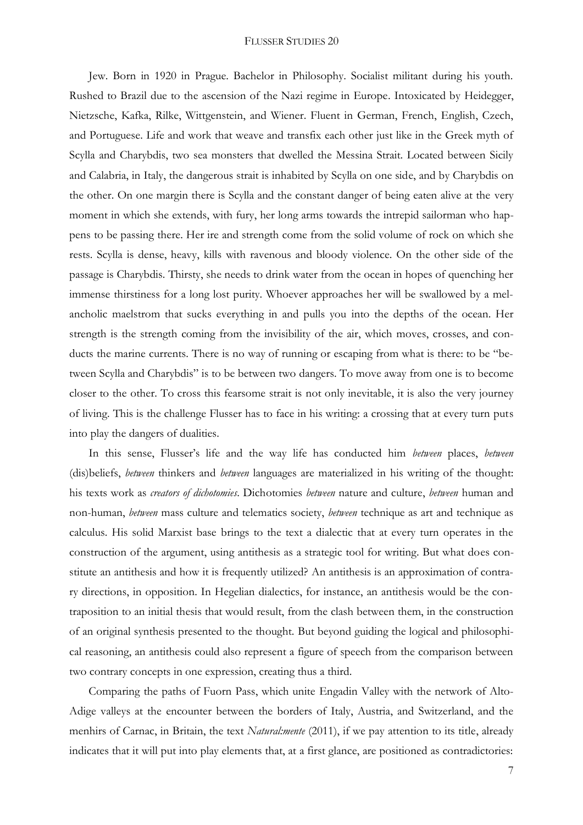Jew. Born in 1920 in Prague. Bachelor in Philosophy. Socialist militant during his youth. Rushed to Brazil due to the ascension of the Nazi regime in Europe. Intoxicated by Heidegger, Nietzsche, Kafka, Rilke, Wittgenstein, and Wiener. Fluent in German, French, English, Czech, and Portuguese. Life and work that weave and transfix each other just like in the Greek myth of Scylla and Charybdis, two sea monsters that dwelled the Messina Strait. Located between Sicily and Calabria, in Italy, the dangerous strait is inhabited by Scylla on one side, and by Charybdis on the other. On one margin there is Scylla and the constant danger of being eaten alive at the very moment in which she extends, with fury, her long arms towards the intrepid sailorman who happens to be passing there. Her ire and strength come from the solid volume of rock on which she rests. Scylla is dense, heavy, kills with ravenous and bloody violence. On the other side of the passage is Charybdis. Thirsty, she needs to drink water from the ocean in hopes of quenching her immense thirstiness for a long lost purity. Whoever approaches her will be swallowed by a melancholic maelstrom that sucks everything in and pulls you into the depths of the ocean. Her strength is the strength coming from the invisibility of the air, which moves, crosses, and conducts the marine currents. There is no way of running or escaping from what is there: to be "between Scylla and Charybdis" is to be between two dangers. To move away from one is to become closer to the other. To cross this fearsome strait is not only inevitable, it is also the very journey of living. This is the challenge Flusser has to face in his writing: a crossing that at every turn puts into play the dangers of dualities.

In this sense, Flusser's life and the way life has conducted him *between* places, *between*  (dis)beliefs, *between* thinkers and *between* languages are materialized in his writing of the thought: his texts work as *creators of dichotomies*. Dichotomies *between* nature and culture, *between* human and non-human, *between* mass culture and telematics society, *between* technique as art and technique as calculus. His solid Marxist base brings to the text a dialectic that at every turn operates in the construction of the argument, using antithesis as a strategic tool for writing. But what does constitute an antithesis and how it is frequently utilized? An antithesis is an approximation of contrary directions, in opposition. In Hegelian dialectics, for instance, an antithesis would be the contraposition to an initial thesis that would result, from the clash between them, in the construction of an original synthesis presented to the thought. But beyond guiding the logical and philosophical reasoning, an antithesis could also represent a figure of speech from the comparison between two contrary concepts in one expression, creating thus a third.

Comparing the paths of Fuorn Pass, which unite Engadin Valley with the network of Alto-Adige valleys at the encounter between the borders of Italy, Austria, and Switzerland, and the menhirs of Carnac, in Britain, the text *Natural:mente* (2011), if we pay attention to its title, already indicates that it will put into play elements that, at a first glance, are positioned as contradictories:

7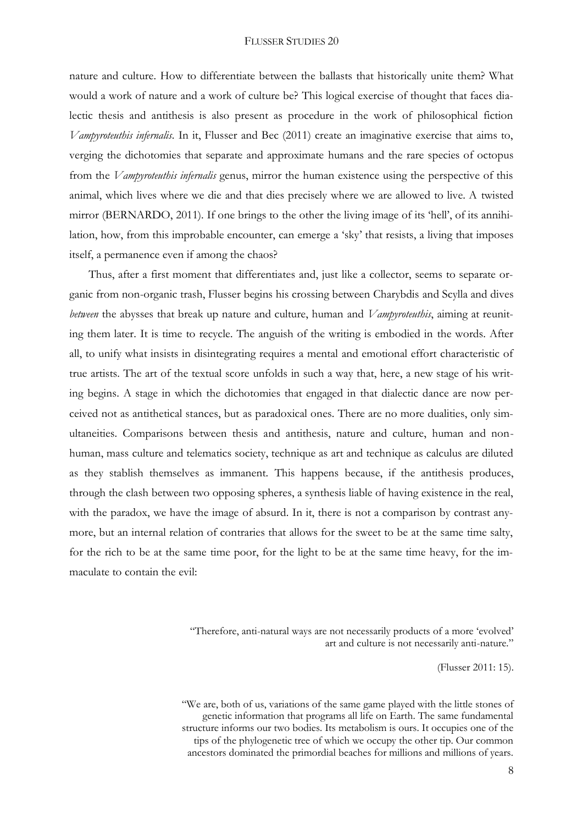nature and culture. How to differentiate between the ballasts that historically unite them? What would a work of nature and a work of culture be? This logical exercise of thought that faces dialectic thesis and antithesis is also present as procedure in the work of philosophical fiction *Vampyroteuthis infernalis*. In it, Flusser and Bec (2011) create an imaginative exercise that aims to, verging the dichotomies that separate and approximate humans and the rare species of octopus from the *Vampyroteuthis infernalis* genus, mirror the human existence using the perspective of this animal, which lives where we die and that dies precisely where we are allowed to live. A twisted mirror (BERNARDO, 2011). If one brings to the other the living image of its 'hell', of its annihilation, how, from this improbable encounter, can emerge a 'sky' that resists, a living that imposes itself, a permanence even if among the chaos?

Thus, after a first moment that differentiates and, just like a collector, seems to separate organic from non-organic trash, Flusser begins his crossing between Charybdis and Scylla and dives *between* the abysses that break up nature and culture, human and *Vampyroteuthis*, aiming at reuniting them later. It is time to recycle. The anguish of the writing is embodied in the words. After all, to unify what insists in disintegrating requires a mental and emotional effort characteristic of true artists. The art of the textual score unfolds in such a way that, here, a new stage of his writing begins. A stage in which the dichotomies that engaged in that dialectic dance are now perceived not as antithetical stances, but as paradoxical ones. There are no more dualities, only simultaneities. Comparisons between thesis and antithesis, nature and culture, human and nonhuman, mass culture and telematics society, technique as art and technique as calculus are diluted as they stablish themselves as immanent. This happens because, if the antithesis produces, through the clash between two opposing spheres, a synthesis liable of having existence in the real, with the paradox, we have the image of absurd. In it, there is not a comparison by contrast anymore, but an internal relation of contraries that allows for the sweet to be at the same time salty, for the rich to be at the same time poor, for the light to be at the same time heavy, for the immaculate to contain the evil:

> "Therefore, anti-natural ways are not necessarily products of a more 'evolved' art and culture is not necessarily anti-nature."

> > (Flusser 2011: 15).

"We are, both of us, variations of the same game played with the little stones of genetic information that programs all life on Earth. The same fundamental structure informs our two bodies. Its metabolism is ours. It occupies one of the tips of the phylogenetic tree of which we occupy the other tip. Our common ancestors dominated the primordial beaches for millions and millions of years.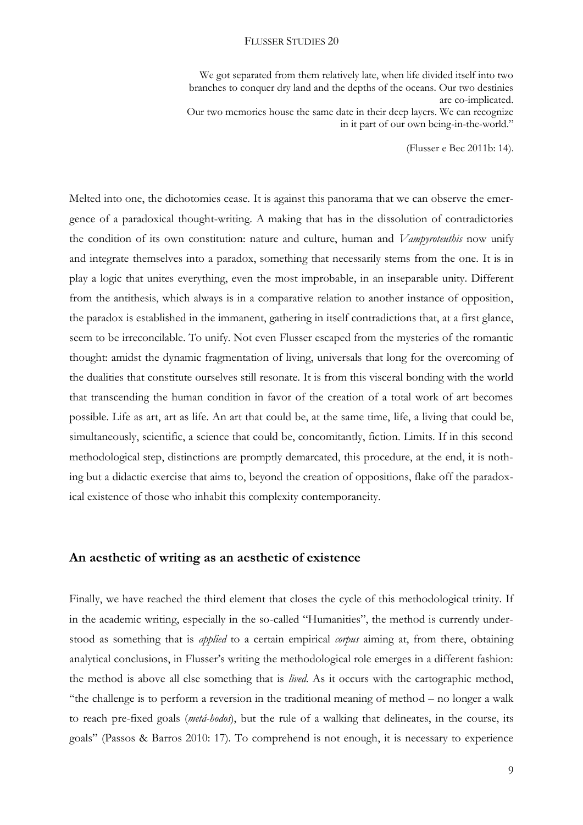We got separated from them relatively late, when life divided itself into two branches to conquer dry land and the depths of the oceans. Our two destinies are co-implicated. Our two memories house the same date in their deep layers. We can recognize in it part of our own being-in-the-world."

(Flusser e Bec 2011b: 14).

Melted into one, the dichotomies cease. It is against this panorama that we can observe the emergence of a paradoxical thought-writing. A making that has in the dissolution of contradictories the condition of its own constitution: nature and culture, human and *Vampyroteuthis* now unify and integrate themselves into a paradox, something that necessarily stems from the one. It is in play a logic that unites everything, even the most improbable, in an inseparable unity. Different from the antithesis, which always is in a comparative relation to another instance of opposition, the paradox is established in the immanent, gathering in itself contradictions that, at a first glance, seem to be irreconcilable. To unify. Not even Flusser escaped from the mysteries of the romantic thought: amidst the dynamic fragmentation of living, universals that long for the overcoming of the dualities that constitute ourselves still resonate. It is from this visceral bonding with the world that transcending the human condition in favor of the creation of a total work of art becomes possible. Life as art, art as life. An art that could be, at the same time, life, a living that could be, simultaneously, scientific, a science that could be, concomitantly, fiction. Limits. If in this second methodological step, distinctions are promptly demarcated, this procedure, at the end, it is nothing but a didactic exercise that aims to, beyond the creation of oppositions, flake off the paradoxical existence of those who inhabit this complexity contemporaneity.

### **An aesthetic of writing as an aesthetic of existence**

Finally, we have reached the third element that closes the cycle of this methodological trinity. If in the academic writing, especially in the so-called "Humanities", the method is currently understood as something that is *applied* to a certain empirical *corpus* aiming at, from there, obtaining analytical conclusions, in Flusser's writing the methodological role emerges in a different fashion: the method is above all else something that is *lived*. As it occurs with the cartographic method, "the challenge is to perform a reversion in the traditional meaning of method – no longer a walk to reach pre-fixed goals (*metá-hodos*), but the rule of a walking that delineates, in the course, its goals" (Passos & Barros 2010: 17). To comprehend is not enough, it is necessary to experience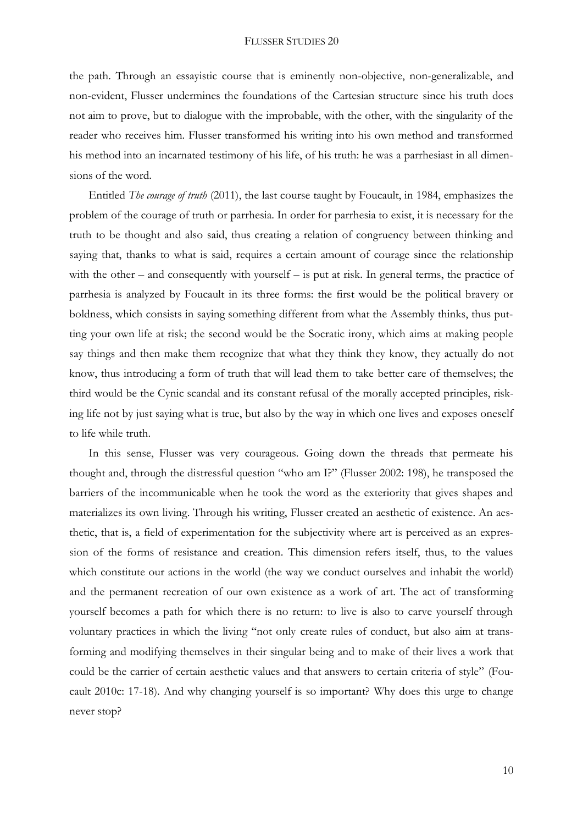the path. Through an essayistic course that is eminently non-objective, non-generalizable, and non-evident, Flusser undermines the foundations of the Cartesian structure since his truth does not aim to prove, but to dialogue with the improbable, with the other, with the singularity of the reader who receives him. Flusser transformed his writing into his own method and transformed his method into an incarnated testimony of his life, of his truth: he was a parrhesiast in all dimensions of the word.

Entitled *The courage of truth* (2011), the last course taught by Foucault, in 1984, emphasizes the problem of the courage of truth or parrhesia. In order for parrhesia to exist, it is necessary for the truth to be thought and also said, thus creating a relation of congruency between thinking and saying that, thanks to what is said, requires a certain amount of courage since the relationship with the other – and consequently with yourself – is put at risk. In general terms, the practice of parrhesia is analyzed by Foucault in its three forms: the first would be the political bravery or boldness, which consists in saying something different from what the Assembly thinks, thus putting your own life at risk; the second would be the Socratic irony, which aims at making people say things and then make them recognize that what they think they know, they actually do not know, thus introducing a form of truth that will lead them to take better care of themselves; the third would be the Cynic scandal and its constant refusal of the morally accepted principles, risking life not by just saying what is true, but also by the way in which one lives and exposes oneself to life while truth.

In this sense, Flusser was very courageous. Going down the threads that permeate his thought and, through the distressful question "who am I?" (Flusser 2002: 198), he transposed the barriers of the incommunicable when he took the word as the exteriority that gives shapes and materializes its own living. Through his writing, Flusser created an aesthetic of existence. An aesthetic, that is, a field of experimentation for the subjectivity where art is perceived as an expression of the forms of resistance and creation. This dimension refers itself, thus, to the values which constitute our actions in the world (the way we conduct ourselves and inhabit the world) and the permanent recreation of our own existence as a work of art. The act of transforming yourself becomes a path for which there is no return: to live is also to carve yourself through voluntary practices in which the living "not only create rules of conduct, but also aim at transforming and modifying themselves in their singular being and to make of their lives a work that could be the carrier of certain aesthetic values and that answers to certain criteria of style" (Foucault 2010c: 17-18). And why changing yourself is so important? Why does this urge to change never stop?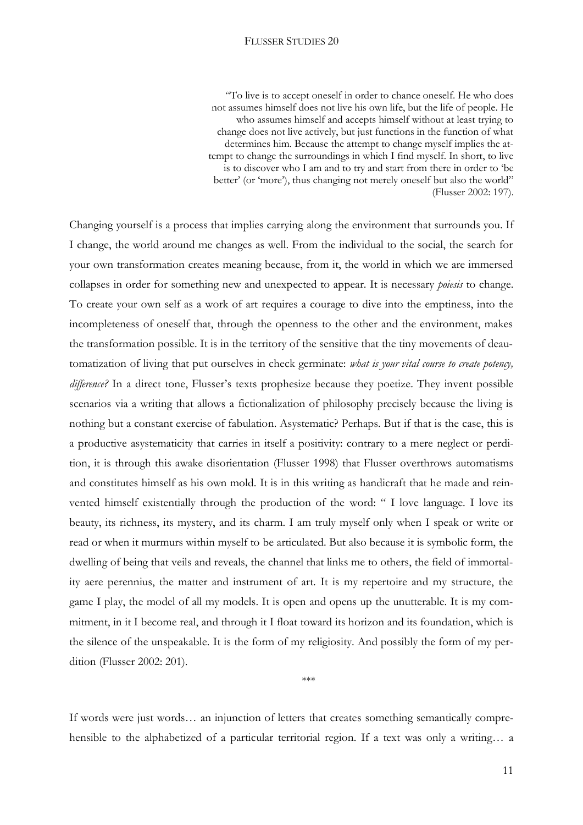"To live is to accept oneself in order to chance oneself. He who does not assumes himself does not live his own life, but the life of people. He who assumes himself and accepts himself without at least trying to change does not live actively, but just functions in the function of what determines him. Because the attempt to change myself implies the attempt to change the surroundings in which I find myself. In short, to live is to discover who I am and to try and start from there in order to 'be better' (or 'more'), thus changing not merely oneself but also the world" (Flusser 2002: 197).

Changing yourself is a process that implies carrying along the environment that surrounds you. If I change, the world around me changes as well. From the individual to the social, the search for your own transformation creates meaning because, from it, the world in which we are immersed collapses in order for something new and unexpected to appear. It is necessary *poiesis* to change. To create your own self as a work of art requires a courage to dive into the emptiness, into the incompleteness of oneself that, through the openness to the other and the environment, makes the transformation possible. It is in the territory of the sensitive that the tiny movements of deautomatization of living that put ourselves in check germinate: *what is your vital course to create potency, difference?* In a direct tone, Flusser's texts prophesize because they poetize. They invent possible scenarios via a writing that allows a fictionalization of philosophy precisely because the living is nothing but a constant exercise of fabulation. Asystematic? Perhaps. But if that is the case, this is a productive asystematicity that carries in itself a positivity: contrary to a mere neglect or perdition, it is through this awake disorientation (Flusser 1998) that Flusser overthrows automatisms and constitutes himself as his own mold. It is in this writing as handicraft that he made and reinvented himself existentially through the production of the word: " I love language. I love its beauty, its richness, its mystery, and its charm. I am truly myself only when I speak or write or read or when it murmurs within myself to be articulated. But also because it is symbolic form, the dwelling of being that veils and reveals, the channel that links me to others, the field of immortality aere perennius, the matter and instrument of art. It is my repertoire and my structure, the game I play, the model of all my models. It is open and opens up the unutterable. It is my commitment, in it I become real, and through it I float toward its horizon and its foundation, which is the silence of the unspeakable. It is the form of my religiosity. And possibly the form of my perdition (Flusser 2002: 201).

If words were just words… an injunction of letters that creates something semantically comprehensible to the alphabetized of a particular territorial region. If a text was only a writing... a

\*\*\*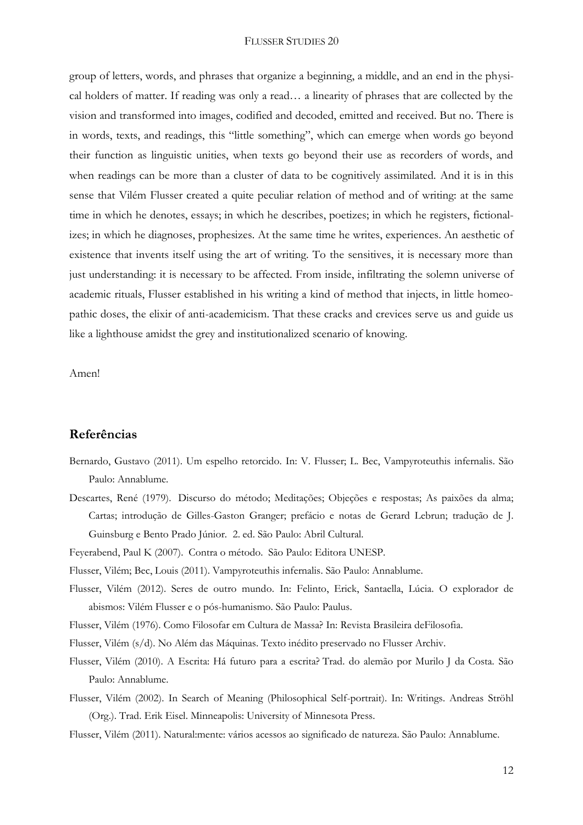group of letters, words, and phrases that organize a beginning, a middle, and an end in the physical holders of matter. If reading was only a read… a linearity of phrases that are collected by the vision and transformed into images, codified and decoded, emitted and received. But no. There is in words, texts, and readings, this "little something", which can emerge when words go beyond their function as linguistic unities, when texts go beyond their use as recorders of words, and when readings can be more than a cluster of data to be cognitively assimilated. And it is in this sense that Vilém Flusser created a quite peculiar relation of method and of writing: at the same time in which he denotes, essays; in which he describes, poetizes; in which he registers, fictionalizes; in which he diagnoses, prophesizes. At the same time he writes, experiences. An aesthetic of existence that invents itself using the art of writing. To the sensitives, it is necessary more than just understanding: it is necessary to be affected. From inside, infiltrating the solemn universe of academic rituals, Flusser established in his writing a kind of method that injects, in little homeopathic doses, the elixir of anti-academicism. That these cracks and crevices serve us and guide us like a lighthouse amidst the grey and institutionalized scenario of knowing.

Amen!

## **Referências**

- Bernardo, Gustavo (2011). Um espelho retorcido. In: V. Flusser; L. Bec, Vampyroteuthis infernalis. São Paulo: Annablume.
- Descartes, René (1979). Discurso do método; Meditações; Objeções e respostas; As paixões da alma; Cartas; introdução de Gilles-Gaston Granger; prefácio e notas de Gerard Lebrun; tradução de J. Guinsburg e Bento Prado Júnior. 2. ed. São Paulo: Abril Cultural.

Feyerabend, Paul K (2007). Contra o método. São Paulo: Editora UNESP.

Flusser, Vilém; Bec, Louis (2011). Vampyroteuthis infernalis. São Paulo: Annablume.

- Flusser, Vilém (2012). Seres de outro mundo. In: Felinto, Erick, Santaella, Lúcia. O explorador de abismos: Vilém Flusser e o pós-humanismo. São Paulo: Paulus.
- Flusser, Vilém (1976). Como Filosofar em Cultura de Massa? In: Revista Brasileira deFilosofia.
- Flusser, Vilém (s/d). No Além das Máquinas. Texto inédito preservado no Flusser Archiv.
- Flusser, Vilém (2010). A Escrita: Há futuro para a escrita? Trad. do alemão por Murilo J da Costa. São Paulo: Annablume.
- Flusser, Vilém (2002). In Search of Meaning (Philosophical Self-portrait). In: Writings. Andreas Ströhl (Org.). Trad. Erik Eisel. Minneapolis: University of Minnesota Press.
- Flusser, Vilém (2011). Natural:mente: vários acessos ao significado de natureza. São Paulo: Annablume.